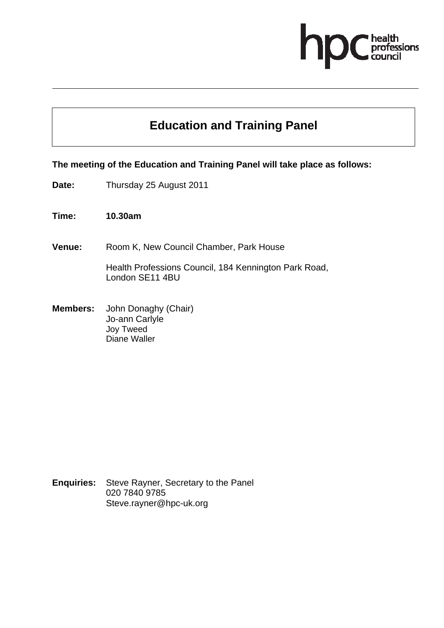

# **Education and Training Panel**

### **The meeting of the Education and Training Panel will take place as follows:**

- **Date:** Thursday 25 August 2011
- **Time: 10.30am**
- **Venue:** Room K, New Council Chamber, Park House

Health Professions Council, 184 Kennington Park Road, London SE11 4BU

**Members:** John Donaghy (Chair) Jo-ann Carlyle Joy Tweed Diane Waller

**Enquiries:** Steve Rayner, Secretary to the Panel 020 7840 9785 Steve.rayner@hpc-uk.org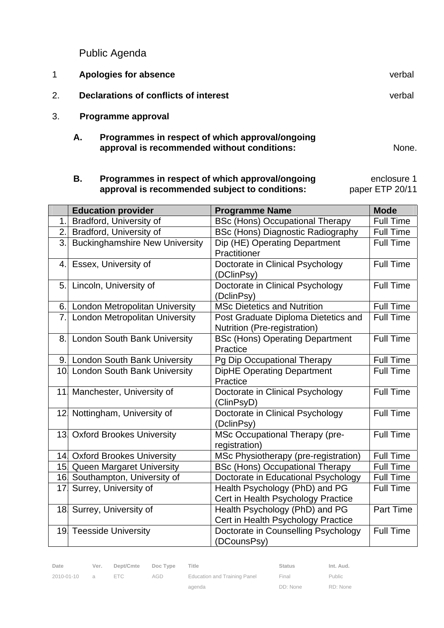Public Agenda

|    |    | Apologies for absence                           | verbal |
|----|----|-------------------------------------------------|--------|
| 2. |    | Declarations of conflicts of interest           | verbal |
| 3. |    | Programme approval                              |        |
|    | Α. | Programmes in respect of which approval/ongoing |        |

 **B. Programmes in respect of which approval/ongoing approval is recommended subject to conditions:**  enclosure 1 paper ETP 20/11

**approval is recommended without conditions:** None.

|                 | <b>Education provider</b>             | <b>Programme Name</b>                                               | <b>Mode</b>      |
|-----------------|---------------------------------------|---------------------------------------------------------------------|------------------|
| 1.              | Bradford, University of               | <b>BSc (Hons) Occupational Therapy</b>                              | <b>Full Time</b> |
| 2.1             | Bradford, University of               | <b>BSc (Hons) Diagnostic Radiography</b>                            | <b>Full Time</b> |
| 3.              | <b>Buckinghamshire New University</b> | Dip (HE) Operating Department                                       | <b>Full Time</b> |
|                 |                                       | Practitioner                                                        |                  |
| 4.1             | Essex, University of                  | Doctorate in Clinical Psychology<br>(DClinPsy)                      | <b>Full Time</b> |
| 5.              | Lincoln, University of                | Doctorate in Clinical Psychology<br>(DclinPsy)                      | <b>Full Time</b> |
|                 | 6. London Metropolitan University     | <b>MSc Dietetics and Nutrition</b>                                  | <b>Full Time</b> |
| 7.              | <b>London Metropolitan University</b> | Post Graduate Diploma Dietetics and<br>Nutrition (Pre-registration) | <b>Full Time</b> |
|                 | 8. London South Bank University       | <b>BSc (Hons) Operating Department</b><br>Practice                  | <b>Full Time</b> |
|                 | 9. London South Bank University       | Pg Dip Occupational Therapy                                         | <b>Full Time</b> |
|                 | 10 London South Bank University       | <b>DipHE Operating Department</b>                                   | <b>Full Time</b> |
|                 |                                       | Practice                                                            |                  |
| 11              | Manchester, University of             | Doctorate in Clinical Psychology<br>(ClinPsyD)                      | <b>Full Time</b> |
|                 | 12 Nottingham, University of          | Doctorate in Clinical Psychology<br>(DclinPsy)                      | <b>Full Time</b> |
|                 | 13 Oxford Brookes University          | MSc Occupational Therapy (pre-<br>registration)                     | <b>Full Time</b> |
|                 | 14 Oxford Brookes University          | MSc Physiotherapy (pre-registration)                                | <b>Full Time</b> |
|                 | 15 Queen Margaret University          | <b>BSc (Hons) Occupational Therapy</b>                              | <b>Full Time</b> |
|                 | 16. Southampton, University of        | Doctorate in Educational Psychology                                 | <b>Full Time</b> |
| 17 <sub>1</sub> | Surrey, University of                 | Health Psychology (PhD) and PG                                      | <b>Full Time</b> |
|                 |                                       | Cert in Health Psychology Practice                                  |                  |
|                 | 18 Surrey, University of              | Health Psychology (PhD) and PG                                      | Part Time        |
|                 |                                       | Cert in Health Psychology Practice                                  |                  |
|                 | 19 Teesside University                | Doctorate in Counselling Psychology                                 | <b>Full Time</b> |
|                 |                                       | (DCounsPsy)                                                         |                  |

2010-01-10 a ETC AGD Education and Training Panel agenda

Final DD: None

Public RD: None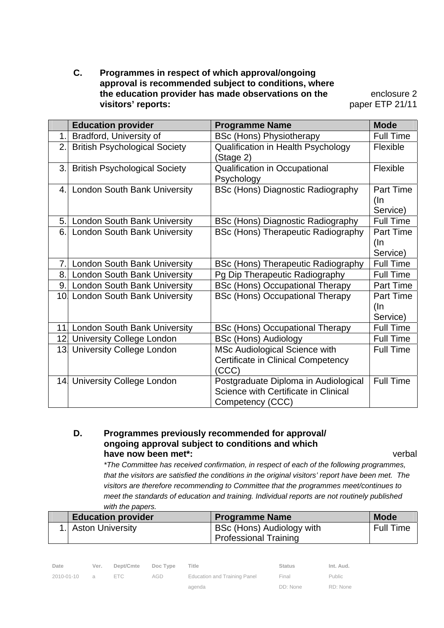**C. Programmes in respect of which approval/ongoing approval is recommended subject to conditions, where the education provider has made observations on the visitors' reports:** 

enclosure 2 paper ETP 21/11

|                | <b>Education provider</b>            | <b>Programme Name</b>                                                                            | <b>Mode</b>                         |
|----------------|--------------------------------------|--------------------------------------------------------------------------------------------------|-------------------------------------|
| 1 <sub>1</sub> | Bradford, University of              | <b>BSc (Hons) Physiotherapy</b>                                                                  | <b>Full Time</b>                    |
| 2.1            | <b>British Psychological Society</b> | Qualification in Health Psychology<br>(Stage 2)                                                  | Flexible                            |
|                | 3. British Psychological Society     | <b>Qualification in Occupational</b><br>Psychology                                               | Flexible                            |
|                | 4. London South Bank University      | <b>BSc (Hons) Diagnostic Radiography</b>                                                         | Part Time<br>(In<br>Service)        |
|                | 5. London South Bank University      | BSc (Hons) Diagnostic Radiography                                                                | <b>Full Time</b>                    |
|                | 6. London South Bank University      | <b>BSc (Hons) Therapeutic Radiography</b>                                                        | <b>Part Time</b><br>(In<br>Service) |
| 7.1            | <b>London South Bank University</b>  | <b>BSc (Hons) Therapeutic Radiography</b>                                                        | <b>Full Time</b>                    |
|                | 8. London South Bank University      | Pg Dip Therapeutic Radiography                                                                   | <b>Full Time</b>                    |
|                | 9. London South Bank University      | <b>BSc (Hons) Occupational Therapy</b>                                                           | <b>Part Time</b>                    |
|                | 10 London South Bank University      | <b>BSc (Hons) Occupational Therapy</b>                                                           | Part Time<br>$($ ln<br>Service)     |
|                | 11. London South Bank University     | <b>BSc (Hons) Occupational Therapy</b>                                                           | <b>Full Time</b>                    |
|                | 12 University College London         | <b>BSc (Hons) Audiology</b>                                                                      | <b>Full Time</b>                    |
|                | 13 University College London         | MSc Audiological Science with<br><b>Certificate in Clinical Competency</b><br>(CCC)              | <b>Full Time</b>                    |
|                | 14 University College London         | Postgraduate Diploma in Audiological<br>Science with Certificate in Clinical<br>Competency (CCC) | <b>Full Time</b>                    |

### **D. Programmes previously recommended for approval/ ongoing approval subject to conditions and which have now been met\*:** verbal

 *\*The Committee has received confirmation, in respect of each of the following programmes, that the visitors are satisfied the conditions in the original visitors' report have been met. The visitors are therefore recommending to Committee that the programmes meet/continues to meet the standards of education and training. Individual reports are not routinely published with the papers.* 

| <b>Education provider</b> | <b>Programme Name</b>        | <b>Mode</b>      |
|---------------------------|------------------------------|------------------|
| 1. Aston University       | BSc (Hons) Audiology with    | <b>Full Time</b> |
|                           | <b>Professional Training</b> |                  |

| Date         | Ver. | Dept/Cmte Doc Type |     | Title                        | <b>Status</b> | Int. Aud. |
|--------------|------|--------------------|-----|------------------------------|---------------|-----------|
| 2010-01-10 a |      | FTC.               | AGD | Education and Training Panel | Final         | Public    |
|              |      |                    |     | agenda                       | DD: None      | RD: None  |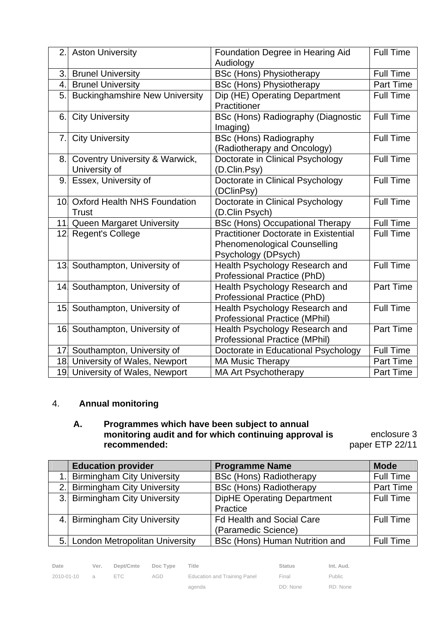| 2. | <b>Aston University</b>                   | Foundation Degree in Hearing Aid             | <b>Full Time</b> |
|----|-------------------------------------------|----------------------------------------------|------------------|
|    |                                           | Audiology                                    |                  |
| 3. | <b>Brunel University</b>                  | <b>BSc (Hons) Physiotherapy</b>              | <b>Full Time</b> |
| 4. | <b>Brunel University</b>                  | <b>BSc (Hons) Physiotherapy</b>              | <b>Part Time</b> |
| 5. | <b>Buckinghamshire New University</b>     | Dip (HE) Operating Department                | <b>Full Time</b> |
|    |                                           | Practitioner                                 |                  |
| 6. | <b>City University</b>                    | <b>BSc (Hons) Radiography (Diagnostic</b>    | <b>Full Time</b> |
|    |                                           | Imaging)                                     |                  |
| 7. | <b>City University</b>                    | <b>BSc (Hons) Radiography</b>                | <b>Full Time</b> |
|    |                                           | (Radiotherapy and Oncology)                  |                  |
| 8. | <b>Coventry University &amp; Warwick,</b> | Doctorate in Clinical Psychology             | <b>Full Time</b> |
|    | University of                             | (D.Clin.Psy)                                 |                  |
| 9. | Essex, University of                      | Doctorate in Clinical Psychology             | <b>Full Time</b> |
|    |                                           | (DClinPsy)                                   |                  |
|    | 10 Oxford Health NHS Foundation           | Doctorate in Clinical Psychology             | <b>Full Time</b> |
|    | <b>Trust</b>                              | (D.Clin Psych)                               |                  |
|    | 11 Queen Margaret University              | <b>BSc (Hons) Occupational Therapy</b>       | <b>Full Time</b> |
|    | 12 Regent's College                       | <b>Practitioner Doctorate in Existential</b> | <b>Full Time</b> |
|    |                                           | <b>Phenomenological Counselling</b>          |                  |
|    |                                           | Psychology (DPsych)                          |                  |
|    | 13 Southampton, University of             | Health Psychology Research and               | <b>Full Time</b> |
|    |                                           | Professional Practice (PhD)                  |                  |
|    | 14 Southampton, University of             | Health Psychology Research and               | Part Time        |
|    |                                           | Professional Practice (PhD)                  |                  |
|    | 15 Southampton, University of             | Health Psychology Research and               | <b>Full Time</b> |
|    |                                           | Professional Practice (MPhil)                |                  |
|    | 16 Southampton, University of             | Health Psychology Research and               | <b>Part Time</b> |
|    |                                           | Professional Practice (MPhil)                | <b>Full Time</b> |
|    | 17 Southampton, University of             | Doctorate in Educational Psychology          | Part Time        |
|    | 18 University of Wales, Newport           | <b>MA Music Therapy</b>                      |                  |
|    | 19 University of Wales, Newport           | <b>MA Art Psychotherapy</b>                  | Part Time        |

# 4. **Annual monitoring**

### **A. Programmes which have been subject to annual monitoring audit and for which continuing approval is recommended:** paper ETP 22/11

enclosure 3

| <b>Education provider</b>         | <b>Programme Name</b>             | <b>Mode</b>      |
|-----------------------------------|-----------------------------------|------------------|
| <b>Birmingham City University</b> | <b>BSc (Hons) Radiotherapy</b>    | <b>Full Time</b> |
| 2. Birmingham City University     | <b>BSc (Hons) Radiotherapy</b>    | Part Time        |
| 3. Birmingham City University     | <b>DipHE Operating Department</b> | <b>Full Time</b> |
|                                   | Practice                          |                  |
| 4. Birmingham City University     | <b>Fd Health and Social Care</b>  | <b>Full Time</b> |
|                                   | (Paramedic Science)               |                  |
| 5. London Metropolitan University | BSc (Hons) Human Nutrition and    | <b>Full Time</b> |

| Date       | Ver. | Dept/Cmte | Doc Type | Title                        | <b>Status</b> | Int. Aud. |
|------------|------|-----------|----------|------------------------------|---------------|-----------|
| 2010-01-10 | a    | FTC.      | AGD      | Education and Training Panel | Final         | Public    |
|            |      |           |          | agenda                       | DD: None      | RD: None  |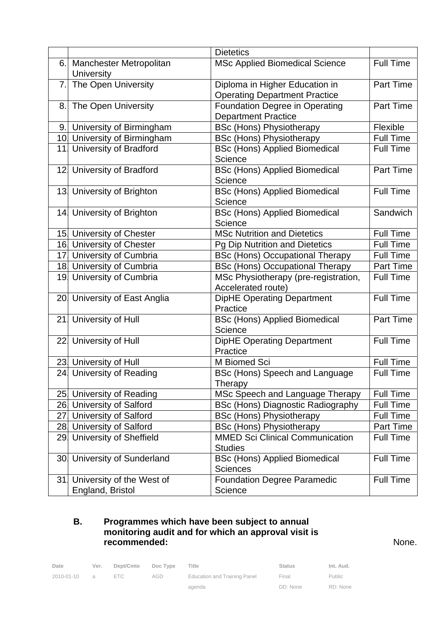|     |                                                     | <b>Dietetics</b>                                                       |                  |
|-----|-----------------------------------------------------|------------------------------------------------------------------------|------------------|
| 6.  | <b>Manchester Metropolitan</b><br><b>University</b> | <b>MSc Applied Biomedical Science</b>                                  | <b>Full Time</b> |
| 7.1 | The Open University                                 | Diploma in Higher Education in<br><b>Operating Department Practice</b> | Part Time        |
| 8.  | The Open University                                 | <b>Foundation Degree in Operating</b><br><b>Department Practice</b>    | Part Time        |
|     | 9. University of Birmingham                         | <b>BSc (Hons) Physiotherapy</b>                                        | Flexible         |
|     | 10 University of Birmingham                         | <b>BSc (Hons) Physiotherapy</b>                                        | <b>Full Time</b> |
|     | 11 University of Bradford                           | <b>BSc (Hons) Applied Biomedical</b><br>Science                        | <b>Full Time</b> |
|     | 12 University of Bradford                           | <b>BSc (Hons) Applied Biomedical</b><br>Science                        | Part Time        |
|     | 13 University of Brighton                           | <b>BSc (Hons) Applied Biomedical</b><br>Science                        | <b>Full Time</b> |
|     | 14 University of Brighton                           | <b>BSc (Hons) Applied Biomedical</b><br>Science                        | Sandwich         |
|     | 15. University of Chester                           | <b>MSc Nutrition and Dietetics</b>                                     | <b>Full Time</b> |
|     | 16 University of Chester                            | Pg Dip Nutrition and Dietetics                                         | <b>Full Time</b> |
|     | 17 University of Cumbria                            | <b>BSc (Hons) Occupational Therapy</b>                                 | Full Time        |
|     | 18 University of Cumbria                            | <b>BSc (Hons) Occupational Therapy</b>                                 | Part Time        |
|     | 19. University of Cumbria                           | MSc Physiotherapy (pre-registration,<br>Accelerated route)             | <b>Full Time</b> |
|     | 20 University of East Anglia                        | <b>DipHE Operating Department</b><br>Practice                          | <b>Full Time</b> |
|     | 21. University of Hull                              | <b>BSc (Hons) Applied Biomedical</b><br>Science                        | Part Time        |
|     | 22 University of Hull                               | <b>DipHE Operating Department</b><br>Practice                          | <b>Full Time</b> |
|     | 23. University of Hull                              | M Biomed Sci                                                           | <b>Full Time</b> |
|     | 24 University of Reading                            | BSc (Hons) Speech and Language<br>Therapy                              | <b>Full Time</b> |
|     | 25 University of Reading                            | MSc Speech and Language Therapy                                        | <b>Full Time</b> |
|     | 26 University of Salford                            | BSc (Hons) Diagnostic Radiography                                      | <b>Full Time</b> |
|     | 27 University of Salford                            | <b>BSc (Hons) Physiotherapy</b>                                        | Full Time        |
|     | 28 University of Salford                            | <b>BSc (Hons) Physiotherapy</b>                                        | Part Time        |
|     | 29 University of Sheffield                          | <b>MMED Sci Clinical Communication</b><br><b>Studies</b>               | <b>Full Time</b> |
|     | 30 University of Sunderland                         | <b>BSc (Hons) Applied Biomedical</b><br><b>Sciences</b>                | <b>Full Time</b> |
|     | 31. University of the West of<br>England, Bristol   | <b>Foundation Degree Paramedic</b><br>Science                          | <b>Full Time</b> |

### **B. Programmes which have been subject to annual monitoring audit and for which an approval visit is recommended:** None.

| Date       | Ver.          | Dept/Cmte | Doc Type | Title                        | Status   | Int. Aud. |
|------------|---------------|-----------|----------|------------------------------|----------|-----------|
| 2010-01-10 | $\mathcal{A}$ | FTC.      | AGD      | Education and Training Panel | Final    | Public    |
|            |               |           |          | agenda                       | DD: None | RD: None  |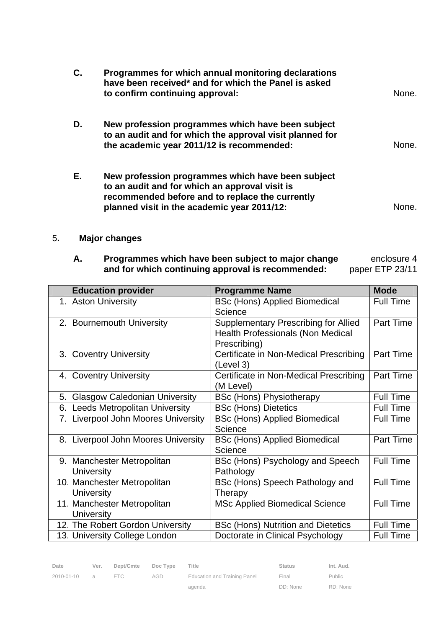| С. | Programmes for which annual monitoring declarations<br>have been received* and for which the Panel is asked<br>to confirm continuing approval:                                                        | None. |
|----|-------------------------------------------------------------------------------------------------------------------------------------------------------------------------------------------------------|-------|
| D. | New profession programmes which have been subject<br>to an audit and for which the approval visit planned for<br>the academic year 2011/12 is recommended:                                            | None. |
| Е. | New profession programmes which have been subject<br>to an audit and for which an approval visit is<br>recommended before and to replace the currently<br>planned visit in the academic year 2011/12: | None  |

# 5**. Major changes**

#### **A. Programmes which have been subject to major change and for which continuing approval is recommended:**  enclosure 4 paper ETP 23/11

|     | <b>Education provider</b>               | <b>Programme Name</b>                       | <b>Mode</b>      |
|-----|-----------------------------------------|---------------------------------------------|------------------|
| 1.1 | <b>Aston University</b>                 | <b>BSc (Hons) Applied Biomedical</b>        | <b>Full Time</b> |
|     |                                         | Science                                     |                  |
| 2.1 | <b>Bournemouth University</b>           | <b>Supplementary Prescribing for Allied</b> | Part Time        |
|     |                                         | <b>Health Professionals (Non Medical</b>    |                  |
|     |                                         | Prescribing)                                |                  |
| 3.1 | <b>Coventry University</b>              | Certificate in Non-Medical Prescribing      | <b>Part Time</b> |
|     |                                         | (Level 3)                                   |                  |
| 4.I | <b>Coventry University</b>              | Certificate in Non-Medical Prescribing      | <b>Part Time</b> |
|     |                                         | (M Level)                                   |                  |
| 5.  | <b>Glasgow Caledonian University</b>    | <b>BSc (Hons) Physiotherapy</b>             | <b>Full Time</b> |
| 6.  | <b>Leeds Metropolitan University</b>    | <b>BSc (Hons) Dietetics</b>                 | <b>Full Time</b> |
| 7.  | <b>Liverpool John Moores University</b> | <b>BSc (Hons) Applied Biomedical</b>        | <b>Full Time</b> |
|     |                                         | Science                                     |                  |
| 8.  | <b>Liverpool John Moores University</b> | <b>BSc (Hons) Applied Biomedical</b>        | Part Time        |
|     |                                         | Science                                     |                  |
| 9.1 | Manchester Metropolitan                 | BSc (Hons) Psychology and Speech            | <b>Full Time</b> |
|     | <b>University</b>                       | Pathology                                   |                  |
|     | 10 Manchester Metropolitan              | BSc (Hons) Speech Pathology and             | <b>Full Time</b> |
|     | <b>University</b>                       | Therapy                                     |                  |
|     | 11. Manchester Metropolitan             | <b>MSc Applied Biomedical Science</b>       | <b>Full Time</b> |
|     | <b>University</b>                       |                                             |                  |
|     | 12. The Robert Gordon University        | <b>BSc (Hons) Nutrition and Dietetics</b>   | <b>Full Time</b> |
|     | 13. University College London           | Doctorate in Clinical Psychology            | <b>Full Time</b> |

agenda

Public RD: None